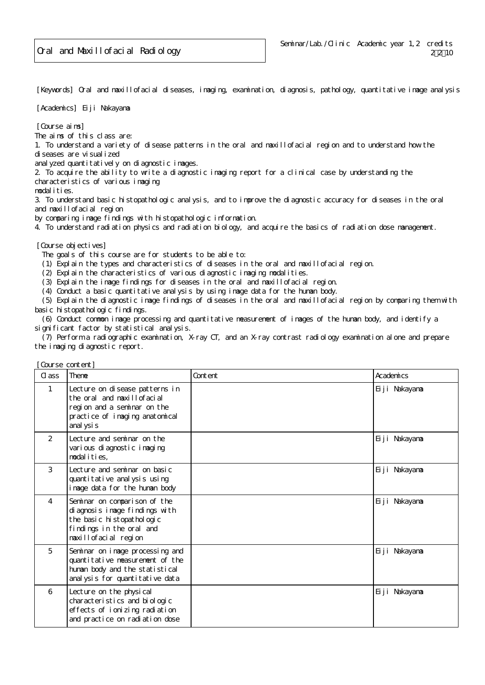[Keywords] Oral and maxillofacial diseases, imaging, examination, diagnosis, pathology, quantitative image analysis

[Academics] Eiji Nakayama

[Course aims]

The aims of this class are:

1. To understand a variety of disease patterns in the oral and maxillofacial region and to understand how the diseases are visualized

anal yzed quantitatively on diagnostic images.

2. To acquire the ability to write a diagnostic imaging report for a clinical case by understanding the characteristics of various imaging

modal i ties.

3. To understand basic histopathologic analysis, and to improve the diagnostic accuracy for diseases in the oral and maxillofacial region

by comparing image findings with histopathologic information.

4. To understand radiation physics and radiation biology, and acquire the basics of radiation dose management.

[Course objectives]

[Course content]

The goals of this course are for students to be able to:

(1) Explain the types and characteristics of diseases in the oral and maxillofacial region.

(2) Explain the characteristics of various diagnostic imaging modalities.

(3) Explain the image findings for diseases in the oral and maxillofacial region.

(4) Conduct a basic quantitative analysis by using image data for the human body.

 (5) Explain the diagnostic image findings of diseases in the oral and maxillofacial region by comparing them with basic histopathologic findings.

 (6) Conduct common image processing and quantitative measurement of images of the human body, and identify a significant factor by statistical analysis.

 (7) Perform a radiographic examination, X-ray CT, and an X-ray contrast radiology examination alone and prepare the imaging diagnostic report.

| C ass          | Theme                                                                                                                                              | Content | Academics     |
|----------------|----------------------------------------------------------------------------------------------------------------------------------------------------|---------|---------------|
|                | Lecture on disease patterns in<br>the oral and maxillofacial<br>region and a seminar on the<br>practice of imaging anatomical<br>anal ysi s        |         | Eiji Nakayama |
| $\mathcal{P}$  | Lecture and seminar on the<br>various diagnosticimaging<br>modal i ti es.                                                                          |         | Eiji Nakayama |
| 3              | Lecture and seminar on basic<br>quanti tati ve anal ysi s usi ng<br>image data for the human body                                                  |         | Eiji Nakayama |
| $\overline{4}$ | Seminar on comparison of the<br>di agnosis i mage fi ndi ngs with<br>the basic histopathologic<br>findings in the oral and<br>maxillofacial region |         | Eiji Nakayama |
| 5              | Seminar on image processing and<br>quantitative measurement of the<br>human body and the statistical<br>anal ysis for quantitative data            |         | Eiji Nakayama |
| 6              | Lecture on the physical<br>characteristics and biologic<br>effects of ionizing radiation<br>and practice on radiation dose                         |         | Eiji Nakayama |